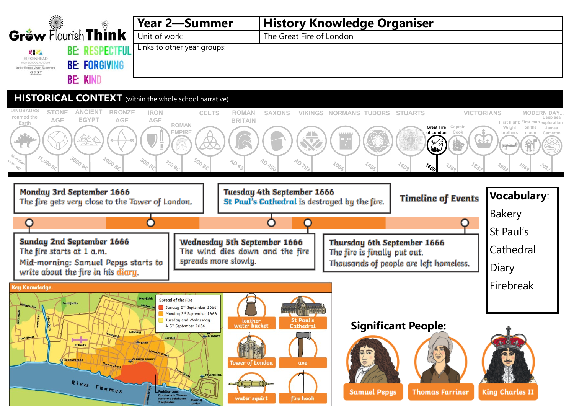